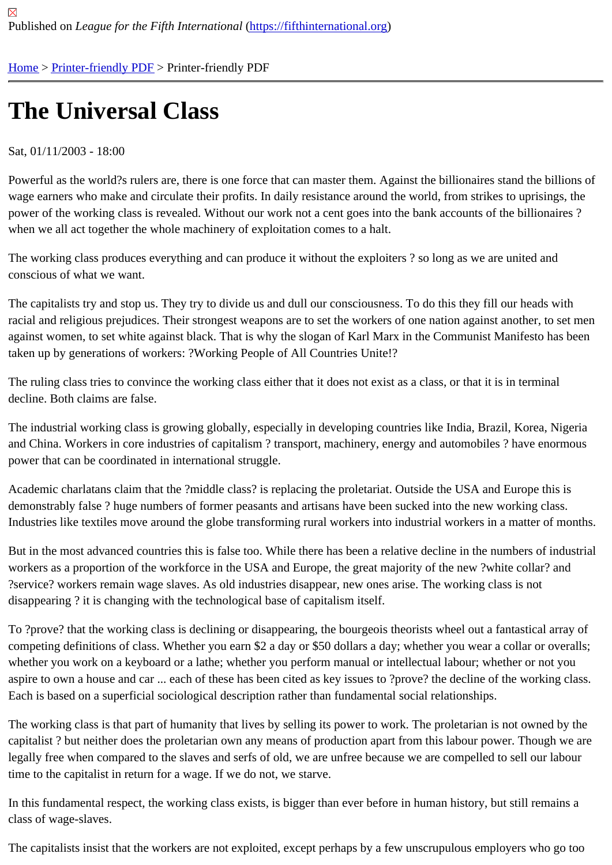## [The](https://fifthinternational.org/) [Universa](https://fifthinternational.org/printpdf)l Class

## Sat, 01/11/2003 - 18:00

Powerful as the world?s rulers are, there is one force that can master them. Against the billionaires stand the billio wage earners who make and circulate their profits. In daily resistance around the world, from strikes to uprisings, t power of the working class is revealed. Without our work not a cent goes into the bank accounts of the billionaires when we all act together the whole machinery of exploitation comes to a halt.

The working class produces everything and can produce it without the exploiters ? so long as we are united and conscious of what we want.

The capitalists try and stop us. They try to divide us and dull our consciousness. To do this they fill our heads with racial and religious prejudices. Their strongest weapons are to set the workers of one nation against another, to se against women, to set white against black. That is why the slogan of Karl Marx in the Communist Manifesto has be taken up by generations of workers: ?Working People of All Countries Unite!?

The ruling class tries to convince the working class either that it does not exist as a class, or that it is in terminal decline. Both claims are false.

The industrial working class is growing globally, especially in developing countries like India, Brazil, Korea, Nigeria and China. Workers in core industries of capitalism ? transport, machinery, energy and automobiles ? have enorm power that can be coordinated in international struggle.

Academic charlatans claim that the ?middle class? is replacing the proletariat. Outside the USA and Europe this is demonstrably false ? huge numbers of former peasants and artisans have been sucked into the new working class. Industries like textiles move around the globe transforming rural workers into industrial workers in a matter of mont

But in the most advanced countries this is false too. While there has been a relative decline in the numbers of indu workers as a proportion of the workforce in the USA and Europe, the great majority of the new ?white collar? and ?service? workers remain wage slaves. As old industries disappear, new ones arise. The working class is not disappearing ? it is changing with the technological base of capitalism itself.

To ?prove? that the working class is declining or disappearing, the bourgeois theorists wheel out a fantastical arra competing definitions of class. Whether you earn \$2 a day or \$50 dollars a day; whether you wear a collar or overa whether you work on a keyboard or a lathe; whether you perform manual or intellectual labour; whether or not you aspire to own a house and car ... each of these has been cited as key issues to ?prove? the decline of the working Each is based on a superficial sociological description rather than fundamental social relationships.

The working class is that part of humanity that lives by selling its power to work. The proletarian is not owned by th capitalist ? but neither does the proletarian own any means of production apart from this labour power. Though we legally free when compared to the slaves and serfs of old, we are unfree because we are compelled to sell our lab time to the capitalist in return for a wage. If we do not, we starve.

In this fundamental respect, the working class exists, is bigger than ever before in human history, but still remains class of wage-slaves.

The capitalists insist that the workers are not exploited, except perhaps by a few unscrupulous employers who go